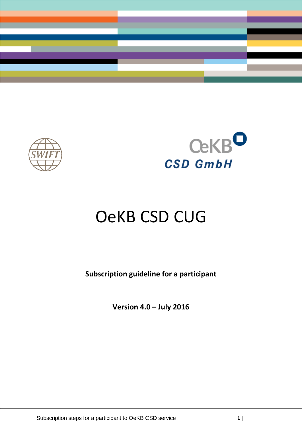





# OeKB CSD CUG

**Subscription guideline for a participant**

**Version 4.0 – July 2016**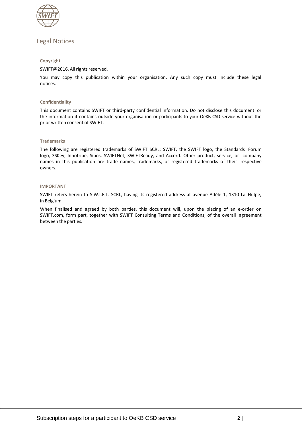

# Legal Notices

#### **Copyright**

#### SWIFT@2016. All rights reserved.

You may copy this publication within your organisation. Any such copy must include these legal notices.

#### **Confidentiality**

This document contains SWIFT or third-party confidential information. Do not disclose this document or the information it contains outside your organisation or participants to your OeKB CSD service without the prior written consent of SWIFT.

#### **Trademarks**

The following are registered trademarks of SWIFT SCRL: SWIFT, the SWIFT logo, the Standards Forum logo, 3SKey, Innotribe, Sibos, SWIFTNet, SWIFTReady, and Accord. Other product, service, or company names in this publication are trade names, trademarks, or registered trademarks of their respective owners.

#### **IMPORTANT**

SWIFT refers herein to S.W.I.F.T. SCRL, having its registered address at avenue Adèle 1, 1310 La Hulpe, in Belgium.

When finalised and agreed by both parties, this document will, upon the placing of an e-order on SWIFT.com, form part, together with SWIFT Consulting Terms and Conditions, of the overall agreement between the parties.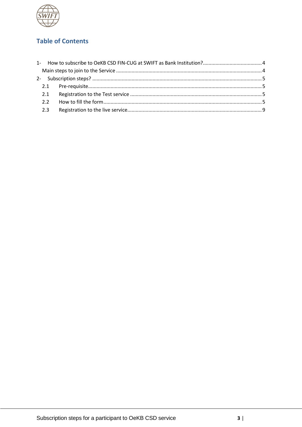

# **Table of Contents**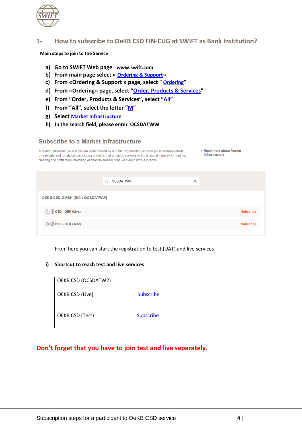

# <span id="page-3-0"></span>**1- How to subscribe to OeKB CSD FIN-CUG at SWIFT as Bank Institution?**

<span id="page-3-1"></span>**Main steps to join to the Service**

- **a) Go to SWIFT Web page [www.swift.com](http://www.swift.com/)**
- **b) From main page select « [Ordering & Support](https://www.swift.com/ordering-support)»**
- **c) From «Ordering & Support » page, select " [Ordering](https://www.swift.com/ordering-support/ordering)"**
- **d) From «Ordering» page, select "[Order, Products & Services](https://www.swift.com/ordering-support/ordering/order-products-services#topic-tabs-menu)"**
- **e) From "Order, Products & Services", select "[All](https://www.swift.com/ordering-support/ordering/order-products-services#all)"**
- **f) From "All", select the letter "[M](https://www.swift.com/ordering-support/ordering/order-products-services#dispatch-M)"**
- **g) Select [Market Infrastructure](https://www.swift.com/ordering-support/ordering/order-products-services/market-infrastructure)**
- **h) In the search field, please enter OCSDATWW**

## Subscribe to a Market Infrastructure

| A Market Infrastructure is a system administered by a public organisation or other public instrumentality,      | > Read more about Market |
|-----------------------------------------------------------------------------------------------------------------|--------------------------|
| or a private and regulated association or entity, that provides services to the financial industry for trading. | Infrastructure           |
| clearing and settlement, matching of financial transactions, and depository functions.                          |                          |

|                                | Q<br><b>OCSDATWW</b> | $\times$ |                  |
|--------------------------------|----------------------|----------|------------------|
| OEKB CSD GMBH (BIC : OCSDATWW) |                      |          |                  |
| CeKB CSD - OEK (Live)          |                      |          | <b>Subscribe</b> |
| $QeKB$ CSD - OEK (Test)        |                      |          | <b>Subscribe</b> |

From here you can start the registration to test (UAT) and live services

# **i) Shortcut to reach test and live services**

| OEKB CSD (OCSDATW2) |                  |
|---------------------|------------------|
| OEKB CSD (Live)     | <b>Subscribe</b> |
| OEKB CSD (Test)     | <b>Subscribe</b> |

# **Don't forget that you have to join test and live separately.**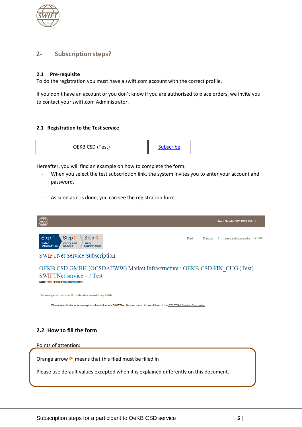

# <span id="page-4-0"></span>**2- Subscription steps?**

# <span id="page-4-1"></span>**2.1 Pre-requisite**

To do the registration you must have a swift.com account with the correct profile.

If you don't have an account or you don't know if you are authorised to place orders, we invite you to contact your swift.com Administrator.

## <span id="page-4-2"></span>**2.1 Registration to the Test service**



Hereafter, you will find an example on how to complete the form.

- When you select the test subscription link, the system invites you to enter your account and password.
- As soon as it is done, you can see the registration form



<span id="page-4-3"></span>Please use default values excepted when it is explained differently on this document.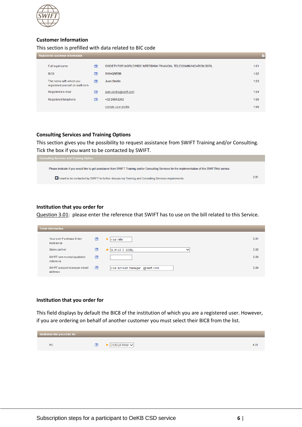

## **Customer Information**

## This section is prefilled with data related to BIC code

| <b>Registered customer information</b><br>E                  |                |                                                                  |      |  |  |  |
|--------------------------------------------------------------|----------------|------------------------------------------------------------------|------|--|--|--|
| Full legal name                                              | $\circledcirc$ | SOCIETY FOR WORLDWIDE INTERBANK FINANCIAL TELECOMMUNICATION SCRL | 1.01 |  |  |  |
| BIC <sub>8</sub>                                             | (?)            | <b>SWHQBEBB</b>                                                  | 1.02 |  |  |  |
| The name with which you<br>registered yourself on swift.com. | $\circledcirc$ | Juan Sevilla                                                     | 1.03 |  |  |  |
| Registered e-mail                                            | ൚              | juan.sevilla@swift.com                                           | 1.04 |  |  |  |
| Registered telephone                                         | (?)            | +32 26553262                                                     | 1.05 |  |  |  |
|                                                              |                | Update user profile                                              | 1.06 |  |  |  |

## **Consulting Services and Training Options**

This section gives you the possibility to request assistance from SWIFT Training and/or Consulting. Tick the box if you want to be contacted by SWIFT.



#### **Institution that you order for**

Question 3.01: please enter the reference that SWIFT has to use on the bill related to this Service.

| Order information                       |                |                                  |      |
|-----------------------------------------|----------------|----------------------------------|------|
| Your own Purchase Order<br>Reference    | $\circledcirc$ | y our refer<br>►                 | 3.01 |
| Sales partner                           | $\circledcirc$ | S.W.I.F.T. SCRL<br>$\check{ }$   | 3.02 |
| SWIFT commercial quotation<br>reference | $\circledcirc$ |                                  | 3.03 |
| SWIFT account manager email<br>address  | $\circledcirc$ | your account manager @ swift.com | 3.04 |

#### **Institution that you order for**

This field displays by default the BIC8 of the institution of which you are a registered user. However, if you are ordering on behalf of another customer you must select their BIC8 from the list.

| Institution that you order for |                       |      |
|--------------------------------|-----------------------|------|
| <b>BIC</b>                     | OCSDATWW <sup>V</sup> | 4.01 |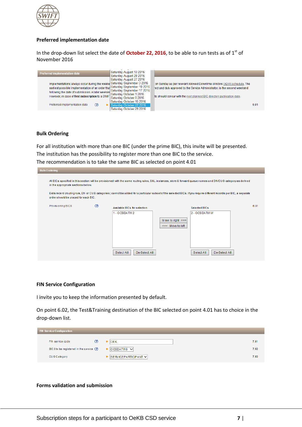

## **Preferred implementation date**

In the drop-down list select the date of **October 22, 2016**, to be able to run tests as of 1<sup>st</sup> of November 2016



#### **Bulk Ordering**

For all institution with more than one BIC (under the prime BIC), this invite will be presented. The institution has the possibility to register more than one BIC to the service. The recommendation is to take the same BIC as selected on point 4.01

|                                     |                              |                     | All BICs specified in this section will be provisioned with the same routing rules, SNL instances, store & forward queue names and DN/CUG category as defined |                                                                                                                                                                                                     |
|-------------------------------------|------------------------------|---------------------|---------------------------------------------------------------------------------------------------------------------------------------------------------------|-----------------------------------------------------------------------------------------------------------------------------------------------------------------------------------------------------|
| ordershould be placed for each BIC. |                              |                     |                                                                                                                                                               |                                                                                                                                                                                                     |
| $\circledR$                         | Available BICs for selection |                     | Selected BICs                                                                                                                                                 |                                                                                                                                                                                                     |
|                                     | $1 - OCSDATW2$               |                     | 2 - OCSDATWW                                                                                                                                                  |                                                                                                                                                                                                     |
|                                     |                              | Move to right $\gg$ |                                                                                                                                                               |                                                                                                                                                                                                     |
|                                     |                              | <<< Move to left    |                                                                                                                                                               |                                                                                                                                                                                                     |
|                                     |                              |                     |                                                                                                                                                               |                                                                                                                                                                                                     |
|                                     |                              |                     |                                                                                                                                                               |                                                                                                                                                                                                     |
|                                     |                              |                     |                                                                                                                                                               |                                                                                                                                                                                                     |
|                                     |                              | Select All          | De-Select All                                                                                                                                                 | Extra record (routing rule, DN or CUG categories) cannot be added for a particular subset of the selected BICs. If you require different records per BIC, a separate<br>De-Select All<br>Select All |

#### **FIN Service Configuration**

I invite you to keep the information presented by default.

On point 6.02, the Test&Training destination of the BIC selected on point 4.01 has to choice in the drop-down list.

| <b>FIN Service Configuration</b>          |     |                                                      |  |      |  |
|-------------------------------------------|-----|------------------------------------------------------|--|------|--|
| FIN service code                          | (?) | $\triangleright$ OEK                                 |  | 7.01 |  |
| BIC 8 to be registered in the service (?) |     | $\triangleright$   OCSDATWO $\triangleright$         |  | 7.02 |  |
| CUG Category                              |     | $\triangleright$ SERVICEPARTICIPANT $\triangleright$ |  | 7.03 |  |

#### **Forms validation and submission**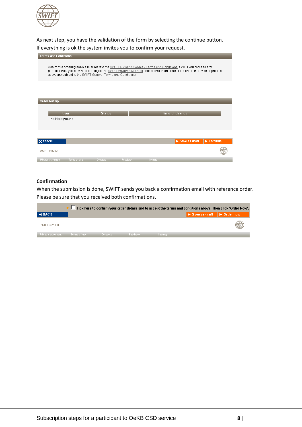

As next step, you have the validation of the form by selecting the continue button. If everything is ok the system invites you to confirm your request.

| <b>Terms and Conditions</b>                                                                                                                                                                                                                                                                                         |             |               |  |                       |                                |  |  |
|---------------------------------------------------------------------------------------------------------------------------------------------------------------------------------------------------------------------------------------------------------------------------------------------------------------------|-------------|---------------|--|-----------------------|--------------------------------|--|--|
| Use of this ordering service is subject to the SWIFT Ordering Service - Terms and Conditions. SWIFT will process any<br>personal data you provide according to the SWIFT Privacy Statement. The provision and use of the ordered service or product<br>above are subject to the SWIFT General Terms and Conditions. |             |               |  |                       |                                |  |  |
| <b>Order history</b>                                                                                                                                                                                                                                                                                                |             |               |  |                       |                                |  |  |
|                                                                                                                                                                                                                                                                                                                     |             |               |  |                       |                                |  |  |
|                                                                                                                                                                                                                                                                                                                     | <b>User</b> | <b>Status</b> |  | <b>Time of change</b> |                                |  |  |
| No history found                                                                                                                                                                                                                                                                                                    |             |               |  |                       |                                |  |  |
|                                                                                                                                                                                                                                                                                                                     |             |               |  |                       |                                |  |  |
|                                                                                                                                                                                                                                                                                                                     |             |               |  |                       |                                |  |  |
| $\times$ cancel                                                                                                                                                                                                                                                                                                     |             |               |  | Save as draft         | $\blacktriangleright$ Continue |  |  |
| SWIFT @ 2009                                                                                                                                                                                                                                                                                                        |             |               |  |                       |                                |  |  |

# **Confirmation**

When the submission is done, SWIFT sends you back a confirmation email with reference order. Please be sure that you received both confirmations.

| Tick here to confirm your order details and to accept the terms and conditions above. Then click 'Order Now'. |               |           |          |          |                           |       |  |  |  |
|---------------------------------------------------------------------------------------------------------------|---------------|-----------|----------|----------|---------------------------|-------|--|--|--|
| $\blacktriangleleft$ BACK                                                                                     |               |           |          |          | Save as draft   Crder now |       |  |  |  |
| SWIFT © 2009                                                                                                  |               |           |          |          |                           | SWIFT |  |  |  |
| Privacy statement                                                                                             | Terms of use. | Contacts: | Feedback | Sitemap. |                           |       |  |  |  |